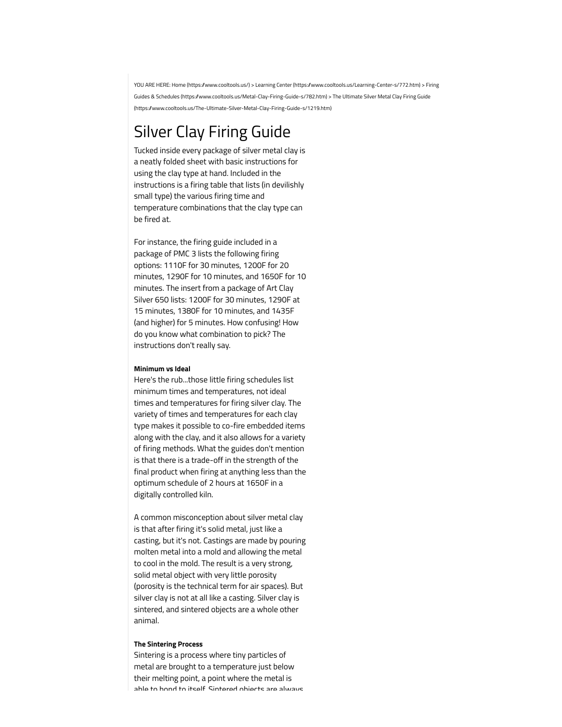[YOU ARE HERE:](https://www.cooltools.us/Metal-Clay-Firing-Guide-s/782.htm) [Home \(https://www.cooltools.us/](https://www.cooltools.us/)[\) >](https://www.cooltools.us/Metal-Clay-Firing-Guide-s/782.htm) [Learning Center \(https://www.cooltools.us/Learning-Center-s/772.htm](https://www.cooltools.us/Learning-Center-s/772.htm)[\) > Firing](https://www.cooltools.us/Metal-Clay-Firing-Guide-s/782.htm) [Guides & Schedules \(https://www.cooltools.us/Metal-Clay-Firing-Guide-s/782.htm\) > The Ultimate Silver Metal Clay Firing Guide](https://www.cooltools.us/The-Ultimate-Silver-Metal-Clay-Firing-Guide-s/1219.htm) (https://www.cooltools.us/The-Ultimate-Silver-Metal-Clay-Firing-Guide-s/1219.htm)

# Silver Clay Firing Guide

Tucked inside every package of silver metal clay is a neatly folded sheet with basic instructions for using the clay type at hand. Included in the instructions is a firing table that lists (in devilishly small type) the various firing time and temperature combinations that the clay type can be fired at.

For instance, the firing guide included in a package of PMC 3 lists the following firing options: 1110F for 30 minutes, 1200F for 20 minutes, 1290F for 10 minutes, and 1650F for 10 minutes. The insert from a package of Art Clay Silver 650 lists: 1200F for 30 minutes, 1290F at 15 minutes, 1380F for 10 minutes, and 1435F (and higher) for 5 minutes. How confusing! How do you know what combination to pick? The instructions don't really say.

## **Minimum vs Ideal**

Here's the rub...those little firing schedules list minimum times and temperatures, not ideal times and temperatures for firing silver clay. The variety of times and temperatures for each clay type makes it possible to co-fire embedded items along with the clay, and it also allows for a variety of firing methods. What the guides don't mention is that there is a trade-off in the strength of the final product when firing at anything less than the optimum schedule of 2 hours at 1650F in a digitally controlled kiln.

A common misconception about silver metal clay is that after firing it's solid metal, just like a casting, but it's not. Castings are made by pouring molten metal into a mold and allowing the metal to cool in the mold. The result is a very strong, solid metal object with very little porosity (porosity is the technical term for air spaces). But silver clay is not at all like a casting. Silver clay is sintered, and sintered objects are a whole other animal.

### **The Sintering Process**

Sintering is a process where tiny particles of metal are brought to a temperature just below their melting point, a point where the metal is able to bond to itself. Sintered objects are always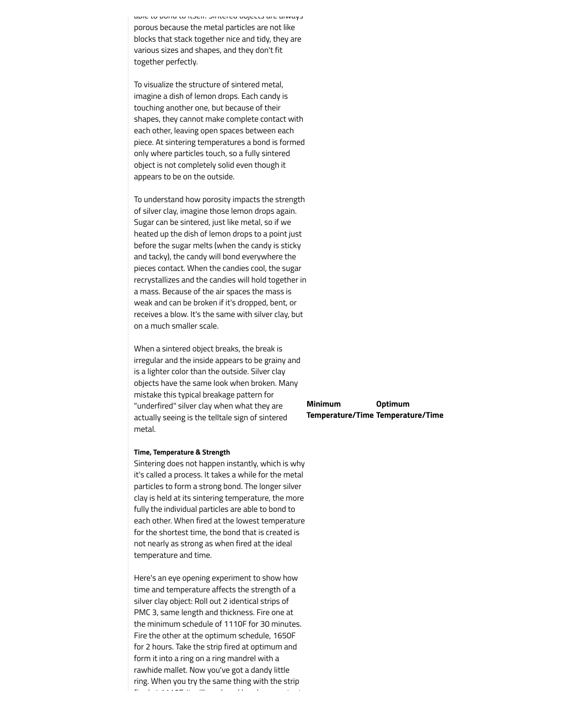able to bond to itself. Sintered objects are always porous because the metal particles are not like blocks that stack together nice and tidy, they are various sizes and shapes, and they don't fit together perfectly.

To visualize the structure of sintered metal, imagine a dish of lemon drops. Each candy is touching another one, but because of their shapes, they cannot make complete contact with each other, leaving open spaces between each piece. At sintering temperatures a bond is formed only where particles touch, so a fully sintered object is not completely solid even though it appears to be on the outside.

To understand how porosity impacts the strength of silver clay, imagine those lemon drops again. Sugar can be sintered, just like metal, so if we heated up the dish of lemon drops to a point just before the sugar melts (when the candy is sticky and tacky), the candy will bond everywhere the pieces contact. When the candies cool, the sugar recrystallizes and the candies will hold together in a mass. Because of the air spaces the mass is weak and can be broken if it's dropped, bent, or receives a blow. It's the same with silver clay, but on a much smaller scale.

When a sintered object breaks, the break is irregular and the inside appears to be grainy and is a lighter color than the outside. Silver clay objects have the same look when broken. Many mistake this typical breakage pattern for "underfired" silver clay when what they are actually seeing is the telltale sign of sintered metal.

#### **Time, Temperature & Strength**

Sintering does not happen instantly, which is why it's called a process. It takes a while for the metal particles to form a strong bond. The longer silver clay is held at its sintering temperature, the more fully the individual particles are able to bond to each other. When fired at the lowest temperature for the shortest time, the bond that is created is not nearly as strong as when fired at the ideal temperature and time.

Here's an eye opening experiment to show how time and temperature affects the strength of a silver clay object: Roll out 2 identical strips of PMC 3, same length and thickness. Fire one at the minimum schedule of 1110F for 30 minutes. Fire the other at the optimum schedule, 1650F for 2 hours. Take the strip fired at optimum and form it into a ring on a ring mandrel with a rawhide mallet. Now you've got a dandy little ring. When you try the same thing with the strip fired at 1110F, it will crack and break as you try to

| <b>Minimum</b> | <b>Optimum</b>                    |
|----------------|-----------------------------------|
|                | Temperature/Time Temperature/Time |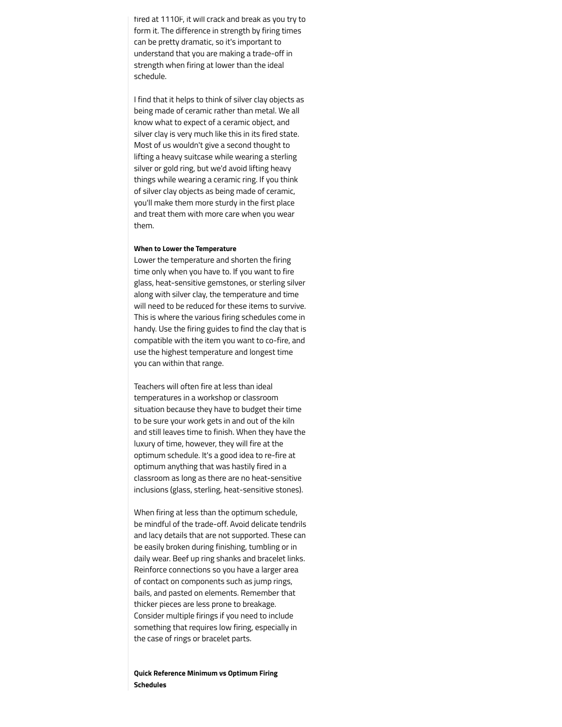fired at 1110F, it will crack and break as you try to form it. The difference in strength by firing times can be pretty dramatic, so it's important to understand that you are making a trade-off in strength when firing at lower than the ideal schedule.

I find that it helps to think of silver clay objects as being made of ceramic rather than metal. We all know what to expect of a ceramic object, and silver clay is very much like this in its fired state. Most of us wouldn't give a second thought to lifting a heavy suitcase while wearing a sterling silver or gold ring, but we'd avoid lifting heavy things while wearing a ceramic ring. If you think of silver clay objects as being made of ceramic, you'll make them more sturdy in the first place and treat them with more care when you wear them.

## **When to Lower the Temperature**

Lower the temperature and shorten the firing time only when you have to. If you want to fire glass, heat-sensitive gemstones, or sterling silver along with silver clay, the temperature and time will need to be reduced for these items to survive. This is where the various firing schedules come in handy. Use the firing guides to find the clay that is compatible with the item you want to co-fire, and use the highest temperature and longest time you can within that range.

Teachers will often fire at less than ideal temperatures in a workshop or classroom situation because they have to budget their time to be sure your work gets in and out of the kiln and still leaves time to finish. When they have the luxury of time, however, they will fire at the optimum schedule. It's a good idea to re-fire at optimum anything that was hastily fired in a classroom as long as there are no heat-sensitive inclusions (glass, sterling, heat-sensitive stones).

When firing at less than the optimum schedule, be mindful of the trade-off. Avoid delicate tendrils and lacy details that are not supported. These can be easily broken during finishing, tumbling or in daily wear. Beef up ring shanks and bracelet links. Reinforce connections so you have a larger area of contact on components such as jump rings, bails, and pasted on elements. Remember that thicker pieces are less prone to breakage. Consider multiple firings if you need to include something that requires low firing, especially in the case of rings or bracelet parts.

## **Quick Reference Minimum vs Optimum Firing Schedules**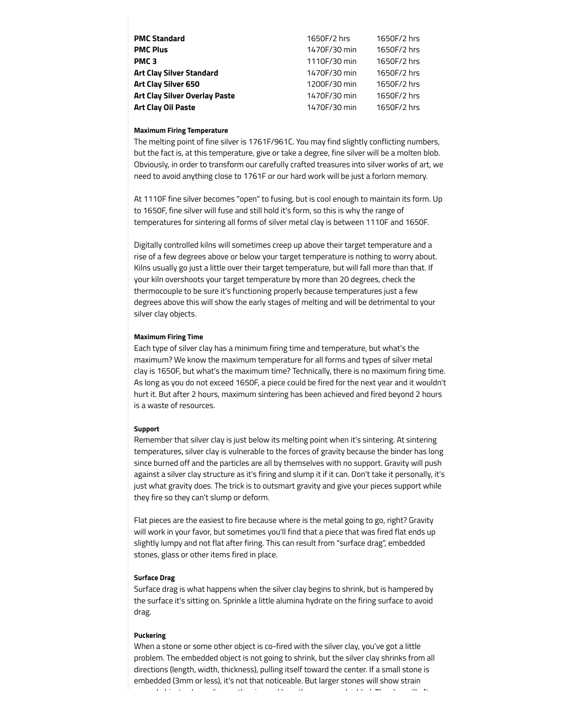| PMC Standard                  | 1650F/2 hrs  | 1650F/2 hrs |
|-------------------------------|--------------|-------------|
| <b>PMC Plus</b>               | 1470F/30 min | 1650F/2 hrs |
| <b>PMC 3</b>                  | 1110F/30 min | 1650F/2 hrs |
| Art Clay Silver Standard      | 1470F/30 min | 1650F/2 hrs |
| Art Clay Silver 650           | 1200F/30 min | 1650F/2 hrs |
| Art Clay Silver Overlay Paste | 1470F/30 min | 1650F/2 hrs |
| Art Clay Oil Paste            | 1470F/30 min | 1650F/2 hrs |
|                               |              |             |

## **Maximum Firing Temperature**

The melting point of fine silver is 1761F/961C. You may find slightly conflicting numbers, but the fact is, at this temperature, give or take a degree, fine silver will be a molten blob. Obviously, in order to transform our carefully crafted treasures into silver works of art, we need to avoid anything close to 1761F or our hard work will be just a forlorn memory.

At 1110F fine silver becomes "open" to fusing, but is cool enough to maintain its form. Up to 1650F, fine silver will fuse and still hold it's form, so this is why the range of temperatures for sintering all forms of silver metal clay is between 1110F and 1650F.

Digitally controlled kilns will sometimes creep up above their target temperature and a rise of a few degrees above or below your target temperature is nothing to worry about. Kilns usually go just a little over their target temperature, but will fall more than that. If your kiln overshoots your target temperature by more than 20 degrees, check the thermocouple to be sure it's functioning properly because temperatures just a few degrees above this will show the early stages of melting and will be detrimental to your silver clay objects.

## **Maximum Firing Time**

Each type of silver clay has a minimum firing time and temperature, but what's the maximum? We know the maximum temperature for all forms and types of silver metal clay is 1650F, but what's the maximum time? Technically, there is no maximum firing time. As long as you do not exceed 1650F, a piece could be fired for the next year and it wouldn't hurt it. But after 2 hours, maximum sintering has been achieved and fired beyond 2 hours is a waste of resources.

## **Support**

Remember that silver clay is just below its melting point when it's sintering. At sintering temperatures, silver clay is vulnerable to the forces of gravity because the binder has long since burned off and the particles are all by themselves with no support. Gravity will push against a silver clay structure as it's firing and slump it if it can. Don't take it personally, it's just what gravity does. The trick is to outsmart gravity and give your pieces support while they fire so they can't slump or deform.

Flat pieces are the easiest to fire because where is the metal going to go, right? Gravity will work in your favor, but sometimes you'll find that a piece that was fired flat ends up slightly lumpy and not flat after firing. This can result from "surface drag", embedded stones, glass or other items fired in place.

## **Surface Drag**

Surface drag is what happens when the silver clay begins to shrink, but is hampered by the surface it's sitting on. Sprinkle a little alumina hydrate on the firing surface to avoid drag.

## **Puckering**

When a stone or some other object is co-fired with the silver clay, you've got a little problem. The embedded object is not going to shrink, but the silver clay shrinks from all directions (length, width, thickness), pulling itself toward the center. If a small stone is embedded (3mm or less), it's not that noticeable. But larger stones will show strain

around objects, depending on the size and how they were embedded. The clay will often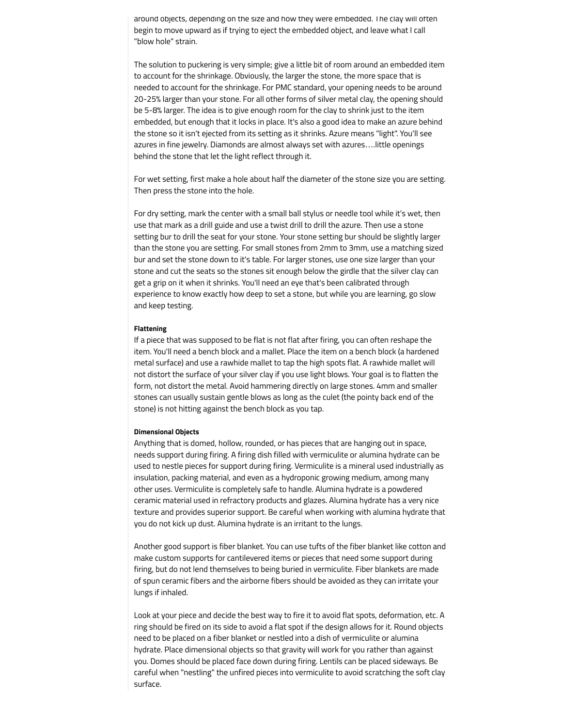around objects, depending on the size and how they were embedded. The clay will often begin to move upward as if trying to eject the embedded object, and leave what I call "blow hole" strain.

The solution to puckering is very simple; give a little bit of room around an embedded item to account for the shrinkage. Obviously, the larger the stone, the more space that is needed to account for the shrinkage. For PMC standard, your opening needs to be around 20-25% larger than your stone. For all other forms of silver metal clay, the opening should be 5-8% larger. The idea is to give enough room for the clay to shrink just to the item embedded, but enough that it locks in place. It's also a good idea to make an azure behind the stone so it isn't ejected from its setting as it shrinks. Azure means "light". You'll see azures in fine jewelry. Diamonds are almost always set with azures….little openings behind the stone that let the light reflect through it.

For wet setting, first make a hole about half the diameter of the stone size you are setting. Then press the stone into the hole.

For dry setting, mark the center with a small ball stylus or needle tool while it's wet, then use that mark as a drill guide and use a twist drill to drill the azure. Then use a stone setting bur to drill the seat for your stone. Your stone setting bur should be slightly larger than the stone you are setting. For small stones from 2mm to 3mm, use a matching sized bur and set the stone down to it's table. For larger stones, use one size larger than your stone and cut the seats so the stones sit enough below the girdle that the silver clay can get a grip on it when it shrinks. You'll need an eye that's been calibrated through experience to know exactly how deep to set a stone, but while you are learning, go slow and keep testing.

## **Flattening**

If a piece that was supposed to be flat is not flat after firing, you can often reshape the item. You'll need a bench block and a mallet. Place the item on a bench block (a hardened metal surface) and use a rawhide mallet to tap the high spots flat. A rawhide mallet will not distort the surface of your silver clay if you use light blows. Your goal is to flatten the form, not distort the metal. Avoid hammering directly on large stones. 4mm and smaller stones can usually sustain gentle blows as long as the culet (the pointy back end of the stone) is not hitting against the bench block as you tap.

## **Dimensional Objects**

Anything that is domed, hollow, rounded, or has pieces that are hanging out in space, needs support during firing. A firing dish filled with vermiculite or alumina hydrate can be used to nestle pieces for support during firing. Vermiculite is a mineral used industrially as insulation, packing material, and even as a hydroponic growing medium, among many other uses. Vermiculite is completely safe to handle. Alumina hydrate is a powdered ceramic material used in refractory products and glazes. Alumina hydrate has a very nice texture and provides superior support. Be careful when working with alumina hydrate that you do not kick up dust. Alumina hydrate is an irritant to the lungs.

Another good support is fiber blanket. You can use tufts of the fiber blanket like cotton and make custom supports for cantilevered items or pieces that need some support during firing, but do not lend themselves to being buried in vermiculite. Fiber blankets are made of spun ceramic fibers and the airborne fibers should be avoided as they can irritate your lungs if inhaled.

Look at your piece and decide the best way to fire it to avoid flat spots, deformation, etc. A ring should be fired on its side to avoid a flat spot if the design allows for it. Round objects need to be placed on a fiber blanket or nestled into a dish of vermiculite or alumina hydrate. Place dimensional objects so that gravity will work for you rather than against you. Domes should be placed face down during firing. Lentils can be placed sideways. Be careful when "nestling" the unfired pieces into vermiculite to avoid scratching the soft clay surface.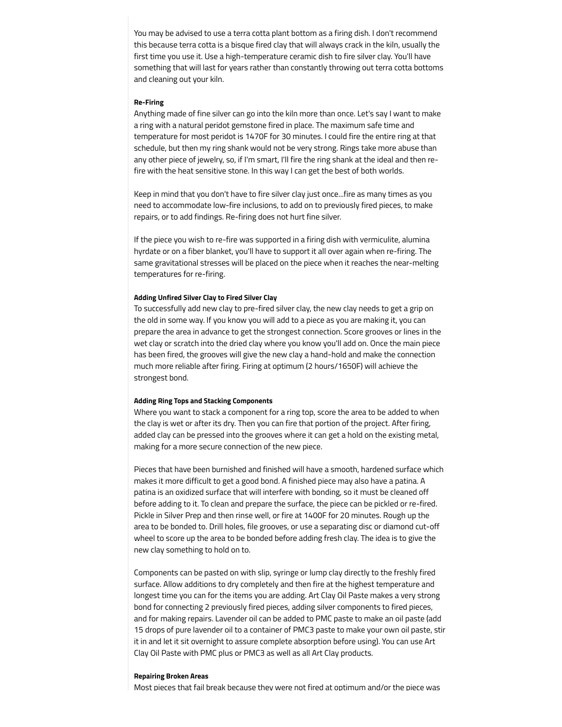You may be advised to use a terra cotta plant bottom as a firing dish. I don't recommend this because terra cotta is a bisque fired clay that will always crack in the kiln, usually the first time you use it. Use a high-temperature ceramic dish to fire silver clay. You'll have something that will last for years rather than constantly throwing out terra cotta bottoms and cleaning out your kiln.

#### **Re-Firing**

Anything made of fine silver can go into the kiln more than once. Let's say I want to make a ring with a natural peridot gemstone fired in place. The maximum safe time and temperature for most peridot is 1470F for 30 minutes. I could fire the entire ring at that schedule, but then my ring shank would not be very strong. Rings take more abuse than any other piece of jewelry, so, if I'm smart, I'll fire the ring shank at the ideal and then refire with the heat sensitive stone. In this way I can get the best of both worlds.

Keep in mind that you don't have to fire silver clay just once...fire as many times as you need to accommodate low-fire inclusions, to add on to previously fired pieces, to make repairs, or to add findings. Re-firing does not hurt fine silver.

If the piece you wish to re-fire was supported in a firing dish with vermiculite, alumina hyrdate or on a fiber blanket, you'll have to support it all over again when re-firing. The same gravitational stresses will be placed on the piece when it reaches the near-melting temperatures for re-firing.

### **Adding Unfired Silver Clay to Fired Silver Clay**

To successfully add new clay to pre-fired silver clay, the new clay needs to get a grip on the old in some way. If you know you will add to a piece as you are making it, you can prepare the area in advance to get the strongest connection. Score grooves or lines in the wet clay or scratch into the dried clay where you know you'll add on. Once the main piece has been fired, the grooves will give the new clay a hand-hold and make the connection much more reliable after firing. Firing at optimum (2 hours/1650F) will achieve the strongest bond.

#### **Adding Ring Tops and Stacking Components**

Where you want to stack a component for a ring top, score the area to be added to when the clay is wet or after its dry. Then you can fire that portion of the project. After firing, added clay can be pressed into the grooves where it can get a hold on the existing metal, making for a more secure connection of the new piece.

Pieces that have been burnished and finished will have a smooth, hardened surface which makes it more difficult to get a good bond. A finished piece may also have a patina. A patina is an oxidized surface that will interfere with bonding, so it must be cleaned off before adding to it. To clean and prepare the surface, the piece can be pickled or re-fired. Pickle in Silver Prep and then rinse well, or fire at 1400F for 20 minutes. Rough up the area to be bonded to. Drill holes, file grooves, or use a separating disc or diamond cut-off wheel to score up the area to be bonded before adding fresh clay. The idea is to give the new clay something to hold on to.

Components can be pasted on with slip, syringe or lump clay directly to the freshly fired surface. Allow additions to dry completely and then fire at the highest temperature and longest time you can for the items you are adding. Art Clay Oil Paste makes a very strong bond for connecting 2 previously fired pieces, adding silver components to fired pieces, and for making repairs. Lavender oil can be added to PMC paste to make an oil paste (add 15 drops of pure lavender oil to a container of PMC3 paste to make your own oil paste, stir it in and let it sit overnight to assure complete absorption before using). You can use Art Clay Oil Paste with PMC plus or PMC3 as well as all Art Clay products.

#### **Repairing Broken Areas**

Most pieces that fail break because they were not fired at optimum and/or the piece was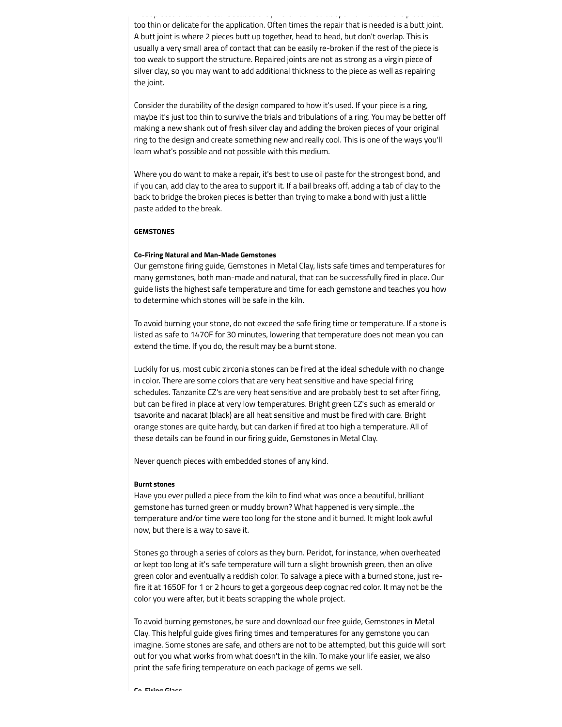Most pieces that fail break because they were not fired at optimum and/or the piece was too thin or delicate for the application. Often times the repair that is needed is a butt joint. A butt joint is where 2 pieces butt up together, head to head, but don't overlap. This is usually a very small area of contact that can be easily re-broken if the rest of the piece is too weak to support the structure. Repaired joints are not as strong as a virgin piece of silver clay, so you may want to add additional thickness to the piece as well as repairing the joint.

Consider the durability of the design compared to how it's used. If your piece is a ring, maybe it's just too thin to survive the trials and tribulations of a ring. You may be better off making a new shank out of fresh silver clay and adding the broken pieces of your original ring to the design and create something new and really cool. This is one of the ways you'll learn what's possible and not possible with this medium.

Where you do want to make a repair, it's best to use oil paste for the strongest bond, and if you can, add clay to the area to support it. If a bail breaks off, adding a tab of clay to the back to bridge the broken pieces is better than trying to make a bond with just a little paste added to the break.

## **GEMSTONES**

## **Co-Firing Natural and Man-Made Gemstones**

Our gemstone firing guide, Gemstones in Metal Clay, lists safe times and temperatures for many gemstones, both man-made and natural, that can be successfully fired in place. Our guide lists the highest safe temperature and time for each gemstone and teaches you how to determine which stones will be safe in the kiln.

To avoid burning your stone, do not exceed the safe firing time or temperature. If a stone is listed as safe to 1470F for 30 minutes, lowering that temperature does not mean you can extend the time. If you do, the result may be a burnt stone.

Luckily for us, most cubic zirconia stones can be fired at the ideal schedule with no change in color. There are some colors that are very heat sensitive and have special firing schedules. Tanzanite CZ's are very heat sensitive and are probably best to set after firing, but can be fired in place at very low temperatures. Bright green CZ's such as emerald or tsavorite and nacarat (black) are all heat sensitive and must be fired with care. Bright orange stones are quite hardy, but can darken if fired at too high a temperature. All of these details can be found in our firing guide, Gemstones in Metal Clay.

Never quench pieces with embedded stones of any kind.

## **Burnt stones**

Have you ever pulled a piece from the kiln to find what was once a beautiful, brilliant gemstone has turned green or muddy brown? What happened is very simple...the temperature and/or time were too long for the stone and it burned. It might look awful now, but there is a way to save it.

Stones go through a series of colors as they burn. Peridot, for instance, when overheated or kept too long at it's safe temperature will turn a slight brownish green, then an olive green color and eventually a reddish color. To salvage a piece with a burned stone, just refire it at 1650F for 1 or 2 hours to get a gorgeous deep cognac red color. It may not be the color you were after, but it beats scrapping the whole project.

To avoid burning gemstones, be sure and download our free guide, Gemstones in Metal Clay. This helpful guide gives firing times and temperatures for any gemstone you can imagine. Some stones are safe, and others are not to be attempted, but this guide will sort out for you what works from what doesn't in the kiln. To make your life easier, we also print the safe firing temperature on each package of gems we sell.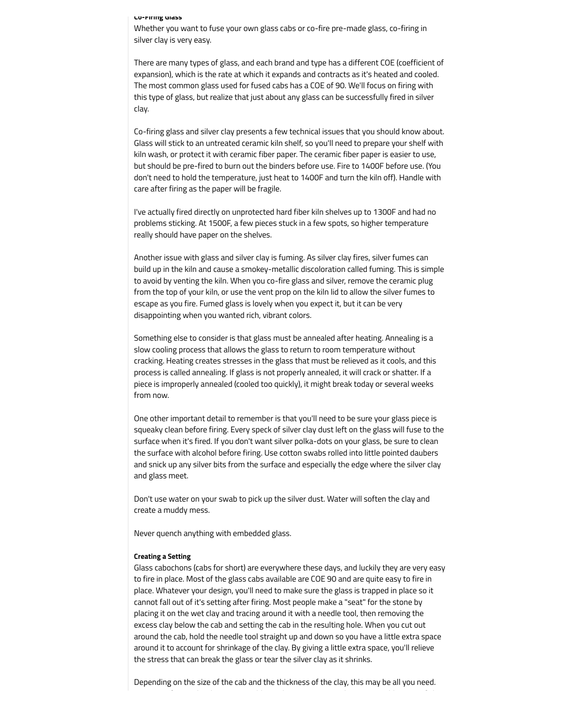#### **Co-Firing Glass**

Whether you want to fuse your own glass cabs or co-fire pre-made glass, co-firing in silver clay is very easy.

There are many types of glass, and each brand and type has a different COE (coefficient of expansion), which is the rate at which it expands and contracts as it's heated and cooled. The most common glass used for fused cabs has a COE of 90. We'll focus on firing with this type of glass, but realize that just about any glass can be successfully fired in silver clay.

Co-firing glass and silver clay presents a few technical issues that you should know about. Glass will stick to an untreated ceramic kiln shelf, so you'll need to prepare your shelf with kiln wash, or protect it with ceramic fiber paper. The ceramic fiber paper is easier to use, but should be pre-fired to burn out the binders before use. Fire to 1400F before use. (You don't need to hold the temperature, just heat to 1400F and turn the kiln off). Handle with care after firing as the paper will be fragile.

I've actually fired directly on unprotected hard fiber kiln shelves up to 1300F and had no problems sticking. At 1500F, a few pieces stuck in a few spots, so higher temperature really should have paper on the shelves.

Another issue with glass and silver clay is fuming. As silver clay fires, silver fumes can build up in the kiln and cause a smokey-metallic discoloration called fuming. This is simple to avoid by venting the kiln. When you co-fire glass and silver, remove the ceramic plug from the top of your kiln, or use the vent prop on the kiln lid to allow the silver fumes to escape as you fire. Fumed glass is lovely when you expect it, but it can be very disappointing when you wanted rich, vibrant colors.

Something else to consider is that glass must be annealed after heating. Annealing is a slow cooling process that allows the glass to return to room temperature without cracking. Heating creates stresses in the glass that must be relieved as it cools, and this process is called annealing. If glass is not properly annealed, it will crack or shatter. If a piece is improperly annealed (cooled too quickly), it might break today or several weeks from now.

One other important detail to remember is that you'll need to be sure your glass piece is squeaky clean before firing. Every speck of silver clay dust left on the glass will fuse to the surface when it's fired. If you don't want silver polka-dots on your glass, be sure to clean the surface with alcohol before firing. Use cotton swabs rolled into little pointed daubers and snick up any silver bits from the surface and especially the edge where the silver clay and glass meet.

Don't use water on your swab to pick up the silver dust. Water will soften the clay and create a muddy mess.

Never quench anything with embedded glass.

#### **Creating a Setting**

Glass cabochons (cabs for short) are everywhere these days, and luckily they are very easy to fire in place. Most of the glass cabs available are COE 90 and are quite easy to fire in place. Whatever your design, you'll need to make sure the glass is trapped in place so it cannot fall out of it's setting after firing. Most people make a "seat" for the stone by placing it on the wet clay and tracing around it with a needle tool, then removing the excess clay below the cab and setting the cab in the resulting hole. When you cut out around the cab, hold the needle tool straight up and down so you have a little extra space around it to account for shrinkage of the clay. By giving a little extra space, you'll relieve the stress that can break the glass or tear the silver clay as it shrinks.

Depending on the size of the cab and the thickness of the clay, this may be all you need.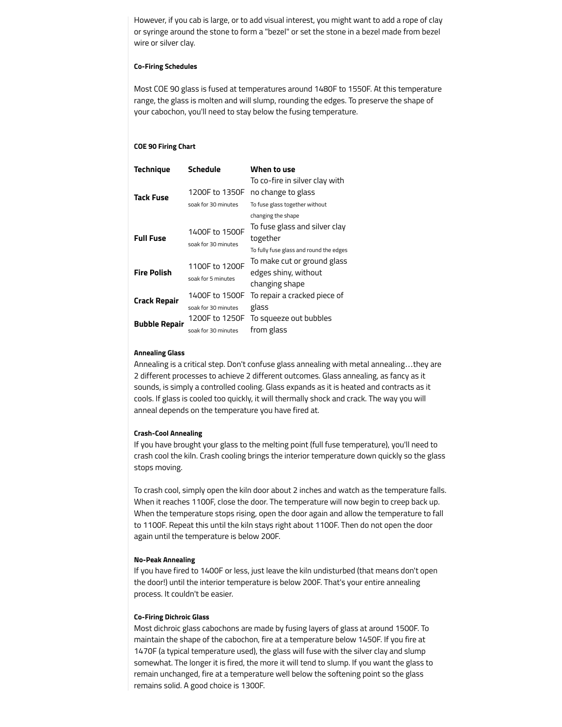However, if you cab is large, or to add visual interest, you might want to add a rope of clay or syringe around the stone to form a "bezel" or set the stone in a bezel made from bezel wire or silver clay.

## **Co-Firing Schedules**

Most COE 90 glass is fused at temperatures around 1480F to 1550F. At this temperature range, the glass is molten and will slump, rounding the edges. To preserve the shape of your cabochon, you'll need to stay below the fusing temperature.

## **COE 90 Firing Chart**

| <b>Technique</b>     | Schedule            | When to use                             |
|----------------------|---------------------|-----------------------------------------|
|                      |                     | To co-fire in silver clay with          |
| <b>Tack Fuse</b>     | 1200F to 1350F      | no change to glass                      |
|                      | soak for 30 minutes | To fuse glass together without          |
|                      |                     | changing the shape                      |
| <b>Full Fuse</b>     | 1400F to 1500F      | To fuse glass and silver clay           |
|                      | soak for 30 minutes | together                                |
|                      |                     | To fully fuse glass and round the edges |
| <b>Fire Polish</b>   | 1100F to 1200F      | To make cut or ground glass             |
|                      | soak for 5 minutes  | edges shiny, without                    |
|                      |                     | changing shape                          |
| <b>Crack Repair</b>  | 1400F to 1500F      | To repair a cracked piece of            |
|                      | soak for 30 minutes | glass                                   |
| <b>Bubble Repair</b> | 1200F to 1250F      | To squeeze out bubbles                  |
|                      | soak for 30 minutes | from glass                              |

#### **Annealing Glass**

Annealing is a critical step. Don't confuse glass annealing with metal annealing…they are 2 different processes to achieve 2 different outcomes. Glass annealing, as fancy as it sounds, is simply a controlled cooling. Glass expands as it is heated and contracts as it cools. If glass is cooled too quickly, it will thermally shock and crack. The way you will anneal depends on the temperature you have fired at.

## **Crash-Cool Annealing**

If you have brought your glass to the melting point (full fuse temperature), you'll need to crash cool the kiln. Crash cooling brings the interior temperature down quickly so the glass stops moving.

To crash cool, simply open the kiln door about 2 inches and watch as the temperature falls. When it reaches 1100F, close the door. The temperature will now begin to creep back up. When the temperature stops rising, open the door again and allow the temperature to fall to 1100F. Repeat this until the kiln stays right about 1100F. Then do not open the door again until the temperature is below 200F.

## **No-Peak Annealing**

If you have fired to 1400F or less, just leave the kiln undisturbed (that means don't open the door!) until the interior temperature is below 200F. That's your entire annealing process. It couldn't be easier.

## **Co-Firing Dichroic Glass**

Most dichroic glass cabochons are made by fusing layers of glass at around 1500F. To maintain the shape of the cabochon, fire at a temperature below 1450F. If you fire at 1470F (a typical temperature used), the glass will fuse with the silver clay and slump somewhat. The longer it is fired, the more it will tend to slump. If you want the glass to remain unchanged, fire at a temperature well below the softening point so the glass remains solid. A good choice is 1300F.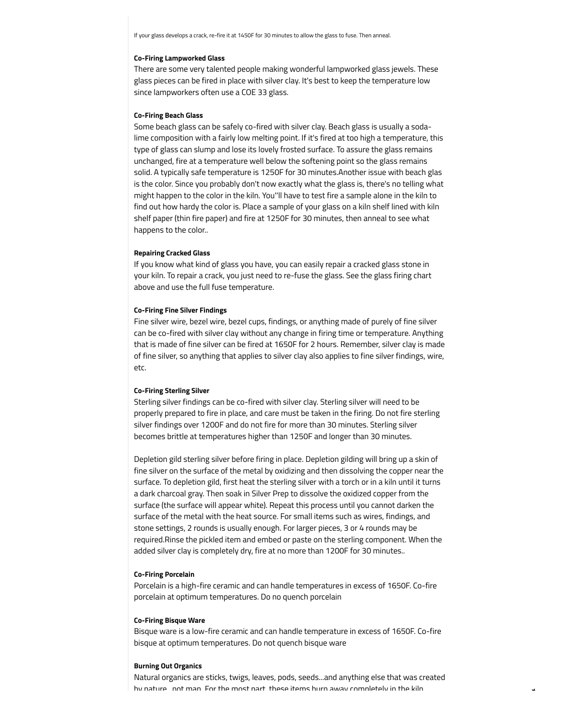If your glass develops a crack, re-fire it at 1450F for 30 minutes to allow the glass to fuse. Then anneal.

#### **Co-Firing Lampworked Glass**

There are some very talented people making wonderful lampworked glass jewels. These glass pieces can be fired in place with silver clay. It's best to keep the temperature low since lampworkers often use a COE 33 glass.

## **Co-Firing Beach Glass**

Some beach glass can be safely co-fired with silver clay. Beach glass is usually a sodalime composition with a fairly low melting point. If it's fired at too high a temperature, this type of glass can slump and lose its lovely frosted surface. To assure the glass remains unchanged, fire at a temperature well below the softening point so the glass remains solid. A typically safe temperature is 1250F for 30 minutes.Another issue with beach glas is the color. Since you probably don't now exactly what the glass is, there's no telling what might happen to the color in the kiln. You''ll have to test fire a sample alone in the kiln to find out how hardy the color is. Place a sample of your glass on a kiln shelf lined with kiln shelf paper (thin fire paper) and fire at 1250F for 30 minutes, then anneal to see what happens to the color..

## **Repairing Cracked Glass**

If you know what kind of glass you have, you can easily repair a cracked glass stone in your kiln. To repair a crack, you just need to re-fuse the glass. See the glass firing chart above and use the full fuse temperature.

## **Co-Firing Fine Silver Findings**

Fine silver wire, bezel wire, bezel cups, findings, or anything made of purely of fine silver can be co-fired with silver clay without any change in firing time or temperature. Anything that is made of fine silver can be fired at 1650F for 2 hours. Remember, silver clay is made of fine silver, so anything that applies to silver clay also applies to fine silver findings, wire, etc.

## **Co-Firing Sterling Silver**

Sterling silver findings can be co-fired with silver clay. Sterling silver will need to be properly prepared to fire in place, and care must be taken in the firing. Do not fire sterling silver findings over 1200F and do not fire for more than 30 minutes. Sterling silver becomes brittle at temperatures higher than 1250F and longer than 30 minutes.

Depletion gild sterling silver before firing in place. Depletion gilding will bring up a skin of fine silver on the surface of the metal by oxidizing and then dissolving the copper near the surface. To depletion gild, first heat the sterling silver with a torch or in a kiln until it turns a dark charcoal gray. Then soak in Silver Prep to dissolve the oxidized copper from the surface (the surface will appear white). Repeat this process until you cannot darken the surface of the metal with the heat source. For small items such as wires, findings, and stone settings, 2 rounds is usually enough. For larger pieces, 3 or 4 rounds may be required.Rinse the pickled item and embed or paste on the sterling component. When the added silver clay is completely dry, fire at no more than 1200F for 30 minutes..

## **Co-Firing Porcelain**

Porcelain is a high-fire ceramic and can handle temperatures in excess of 1650F. Co-fire porcelain at optimum temperatures. Do no quench porcelain

#### **Co-Firing Bisque Ware**

Bisque ware is a low-fire ceramic and can handle temperature in excess of 1650F. Co-fire bisque at optimum temperatures. Do not quench bisque ware

#### **Burning Out Organics**

Natural organics are sticks, twigs, leaves, pods, seeds...and anything else that was created by nature, not man. For the most part, these items burn away completely in the kiln.